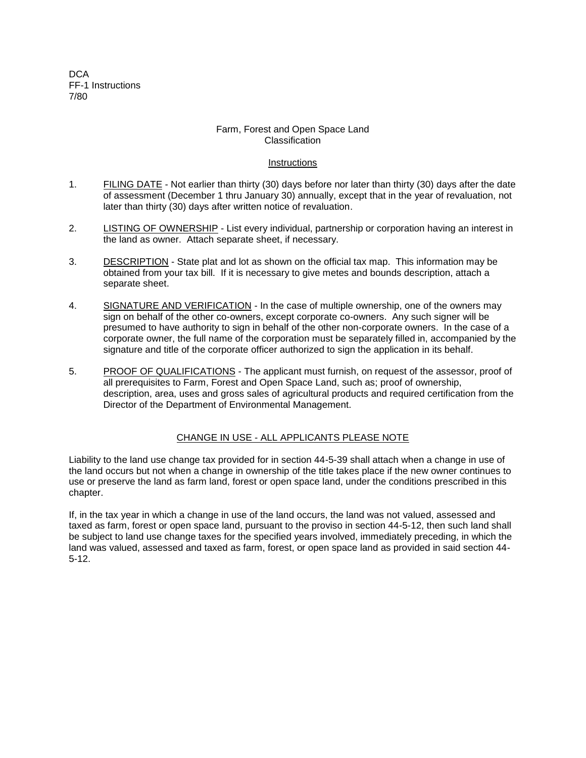D<sub>C</sub>A FF-1 Instructions 7/80

## Farm, Forest and Open Space Land Classification

## Instructions

- 1. FILING DATE Not earlier than thirty (30) days before nor later than thirty (30) days after the date of assessment (December 1 thru January 30) annually, except that in the year of revaluation, not later than thirty (30) days after written notice of revaluation.
- 2. LISTING OF OWNERSHIP List every individual, partnership or corporation having an interest in the land as owner. Attach separate sheet, if necessary.
- 3. DESCRIPTION State plat and lot as shown on the official tax map. This information may be obtained from your tax bill. If it is necessary to give metes and bounds description, attach a separate sheet.
- 4. SIGNATURE AND VERIFICATION In the case of multiple ownership, one of the owners may sign on behalf of the other co-owners, except corporate co-owners. Any such signer will be presumed to have authority to sign in behalf of the other non-corporate owners. In the case of a corporate owner, the full name of the corporation must be separately filled in, accompanied by the signature and title of the corporate officer authorized to sign the application in its behalf.
- 5. PROOF OF QUALIFICATIONS The applicant must furnish, on request of the assessor, proof of all prerequisites to Farm, Forest and Open Space Land, such as; proof of ownership, description, area, uses and gross sales of agricultural products and required certification from the Director of the Department of Environmental Management.

## CHANGE IN USE - ALL APPLICANTS PLEASE NOTE

Liability to the land use change tax provided for in section 44-5-39 shall attach when a change in use of the land occurs but not when a change in ownership of the title takes place if the new owner continues to use or preserve the land as farm land, forest or open space land, under the conditions prescribed in this chapter.

If, in the tax year in which a change in use of the land occurs, the land was not valued, assessed and taxed as farm, forest or open space land, pursuant to the proviso in section 44-5-12, then such land shall be subject to land use change taxes for the specified years involved, immediately preceding, in which the land was valued, assessed and taxed as farm, forest, or open space land as provided in said section 44- 5-12.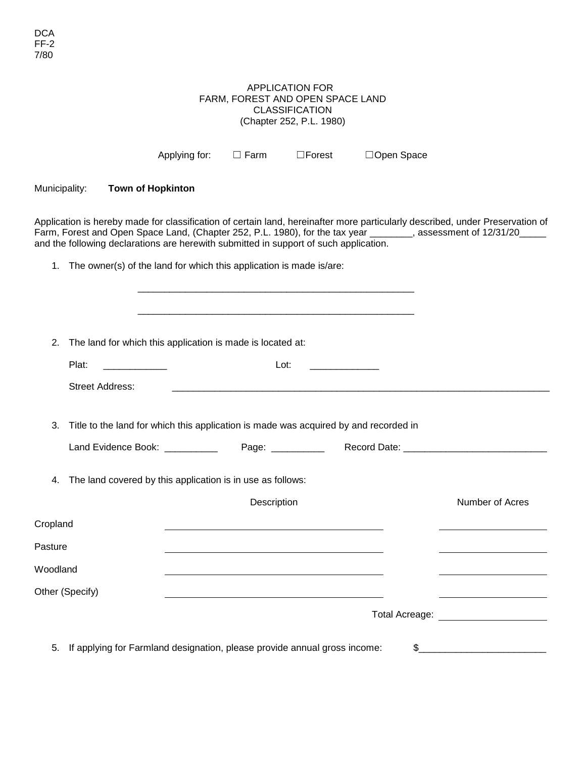## APPLICATION FOR FARM, FOREST AND OPEN SPACE LAND CLASSIFICATION (Chapter 252, P.L. 1980)

|                 |                        | Applying for:                                                                         | $\Box$ Farm | $\square$ Forest | □Open Space    |                                                                                                                                                                                                                                                   |
|-----------------|------------------------|---------------------------------------------------------------------------------------|-------------|------------------|----------------|---------------------------------------------------------------------------------------------------------------------------------------------------------------------------------------------------------------------------------------------------|
| Municipality:   |                        | <b>Town of Hopkinton</b>                                                              |             |                  |                |                                                                                                                                                                                                                                                   |
|                 |                        | and the following declarations are herewith submitted in support of such application. |             |                  |                | Application is hereby made for classification of certain land, hereinafter more particularly described, under Preservation of<br>Farm, Forest and Open Space Land, (Chapter 252, P.L. 1980), for the tax year _______, assessment of 12/31/20____ |
| 1.              |                        | The owner(s) of the land for which this application is made is/are:                   |             |                  |                |                                                                                                                                                                                                                                                   |
|                 |                        |                                                                                       |             |                  |                |                                                                                                                                                                                                                                                   |
| 2.              |                        | The land for which this application is made is located at:                            |             |                  |                |                                                                                                                                                                                                                                                   |
|                 | Plat:                  |                                                                                       |             | Lot:             |                |                                                                                                                                                                                                                                                   |
|                 | <b>Street Address:</b> |                                                                                       |             |                  |                |                                                                                                                                                                                                                                                   |
| 3.              |                        | Title to the land for which this application is made was acquired by and recorded in  |             |                  |                |                                                                                                                                                                                                                                                   |
|                 |                        | Land Evidence Book: __________                                                        |             |                  |                |                                                                                                                                                                                                                                                   |
| 4.              |                        | The land covered by this application is in use as follows:                            |             |                  |                |                                                                                                                                                                                                                                                   |
|                 |                        |                                                                                       | Description |                  |                | Number of Acres                                                                                                                                                                                                                                   |
| Cropland        |                        |                                                                                       |             |                  |                |                                                                                                                                                                                                                                                   |
| Pasture         |                        |                                                                                       |             |                  |                |                                                                                                                                                                                                                                                   |
| Woodland        |                        |                                                                                       |             |                  |                |                                                                                                                                                                                                                                                   |
| Other (Specify) |                        |                                                                                       |             |                  |                |                                                                                                                                                                                                                                                   |
|                 |                        |                                                                                       |             |                  | Total Acreage: |                                                                                                                                                                                                                                                   |
| 5.              |                        | If applying for Farmland designation, please provide annual gross income:             |             |                  | \$             |                                                                                                                                                                                                                                                   |